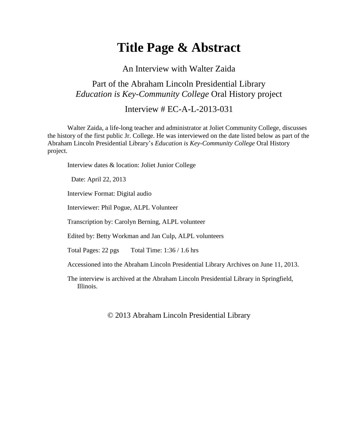# **Title Page & Abstract**

An Interview with Walter Zaida

### Part of the Abraham Lincoln Presidential Library *Education is Key-Community College* Oral History project

### Interview # EC-A-L-2013-031

Walter Zaida, a life-long teacher and administrator at Joliet Community College, discusses the history of the first public Jr. College. He was interviewed on the date listed below as part of the Abraham Lincoln Presidential Library's *Education is Key-Community College* Oral History project.

Interview dates & location: Joliet Junior College

Date: April 22, 2013

Interview Format: Digital audio

Interviewer: Phil Pogue, ALPL Volunteer

Transcription by: Carolyn Berning, ALPL volunteer

Edited by: Betty Workman and Jan Culp, ALPL volunteers

Total Pages: 22 pgs Total Time: 1:36 / 1.6 hrs

Accessioned into the Abraham Lincoln Presidential Library Archives on June 11, 2013.

The interview is archived at the Abraham Lincoln Presidential Library in Springfield, Illinois.

© 2013 Abraham Lincoln Presidential Library